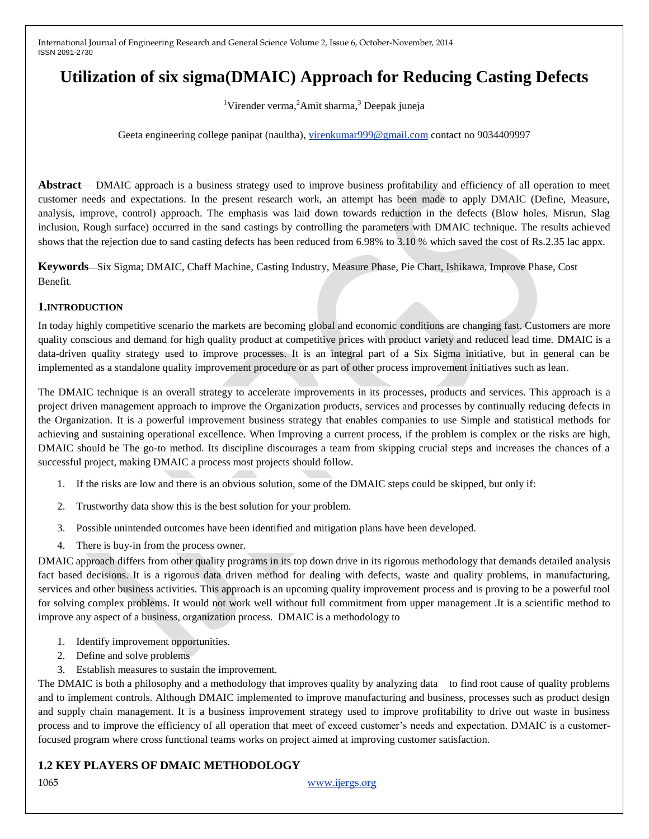# **Utilization of six sigma(DMAIC) Approach for Reducing Casting Defects**

<sup>1</sup>Virender verma,<sup>2</sup>Amit sharma,<sup>3</sup> Deepak juneja

Geeta engineering college panipat (naultha), [virenkumar999@gmail.com](mailto:virenkumar999@gmail.com) contact no 9034409997

**Abstract**— DMAIC approach is a business strategy used to improve business profitability and efficiency of all operation to meet customer needs and expectations. In the present research work, an attempt has been made to apply DMAIC (Define, Measure, analysis, improve, control) approach. The emphasis was laid down towards reduction in the defects (Blow holes, Misrun, Slag inclusion, Rough surface) occurred in the sand castings by controlling the parameters with DMAIC technique. The results achieved shows that the rejection due to sand casting defects has been reduced from 6.98% to 3.10 % which saved the cost of Rs.2.35 lac appx.

**Keywords**—Six Sigma; DMAIC, Chaff Machine, Casting Industry, Measure Phase, Pie Chart, Ishikawa, Improve Phase, Cost Benefit.

#### **1.INTRODUCTION**

In today highly competitive scenario the markets are becoming global and economic conditions are changing fast. Customers are more quality conscious and demand for high quality product at competitive prices with product variety and reduced lead time. DMAIC is a data-driven quality strategy used to improve processes. It is an integral part of a Six Sigma initiative, but in general can be implemented as a standalone quality improvement procedure or as part of other process improvement initiatives such as lean.

The DMAIC technique is an overall strategy to accelerate improvements in its processes, products and services. This approach is a project driven management approach to improve the Organization products, services and processes by continually reducing defects in the Organization. It is a powerful improvement business strategy that enables companies to use Simple and statistical methods for achieving and sustaining operational excellence. When Improving a current process, if the problem is complex or the risks are high, DMAIC should be The go-to method. Its discipline discourages a team from skipping crucial steps and increases the chances of a successful project, making DMAIC a process most projects should follow.

- 1. If the risks are low and there is an obvious solution, some of the DMAIC steps could be skipped, but only if:
- 2. Trustworthy data show this is the best solution for your problem.
- 3. Possible unintended outcomes have been identified and mitigation plans have been developed.
- 4. There is buy-in from the process owner.

DMAIC approach differs from other quality programs in its top down drive in its rigorous methodology that demands detailed analysis fact based decisions. It is a rigorous data driven method for dealing with defects, waste and quality problems, in manufacturing, services and other business activities. This approach is an upcoming quality improvement process and is proving to be a powerful tool for solving complex problems. It would not work well without full commitment from upper management .It is a scientific method to improve any aspect of a business, organization process. DMAIC is a methodology to

- 1. Identify improvement opportunities.
- 2. Define and solve problems
- 3. Establish measures to sustain the improvement.

The DMAIC is both a philosophy and a methodology that improves quality by analyzing data to find root cause of quality problems and to implement controls. Although DMAIC implemented to improve manufacturing and business, processes such as product design and supply chain management. It is a business improvement strategy used to improve profitability to drive out waste in business process and to improve the efficiency of all operation that meet of exceed customer's needs and expectation. DMAIC is a customerfocused program where cross functional teams works on project aimed at improving customer satisfaction.

# **1.2 KEY PLAYERS OF DMAIC METHODOLOGY**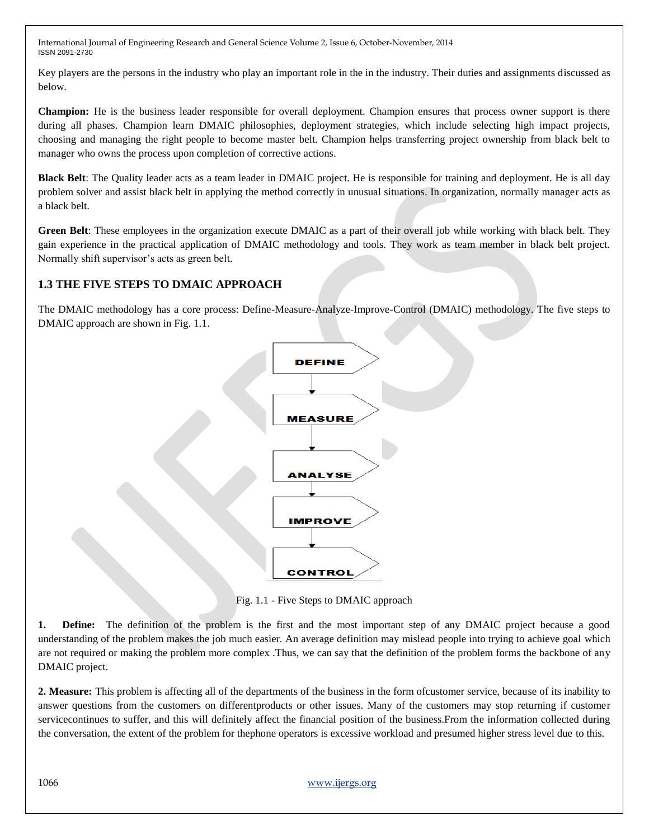Key players are the persons in the industry who play an important role in the in the industry. Their duties and assignments discussed as below.

**Champion:** He is the business leader responsible for overall deployment. Champion ensures that process owner support is there during all phases. Champion learn DMAIC philosophies, deployment strategies, which include selecting high impact projects, choosing and managing the right people to become master belt. Champion helps transferring project ownership from black belt to manager who owns the process upon completion of corrective actions.

**Black Belt**: The Quality leader acts as a team leader in DMAIC project. He is responsible for training and deployment. He is all day problem solver and assist black belt in applying the method correctly in unusual situations. In organization, normally manager acts as a black belt.

**Green Belt**: These employees in the organization execute DMAIC as a part of their overall job while working with black belt. They gain experience in the practical application of DMAIC methodology and tools. They work as team member in black belt project. Normally shift supervisor's acts as green belt.

# **1.3 THE FIVE STEPS TO DMAIC APPROACH**

The DMAIC methodology has a core process: Define-Measure-Analyze-Improve-Control (DMAIC) methodology. The five steps to DMAIC approach are shown in Fig. 1.1.



Fig. 1.1 - Five Steps to DMAIC approach

**1. Define:** The definition of the problem is the first and the most important step of any DMAIC project because a good understanding of the problem makes the job much easier. An average definition may mislead people into trying to achieve goal which are not required or making the problem more complex .Thus, we can say that the definition of the problem forms the backbone of any DMAIC project.

**2. Measure:** This problem is affecting all of the departments of the business in the form ofcustomer service, because of its inability to answer questions from the customers on differentproducts or other issues. Many of the customers may stop returning if customer servicecontinues to suffer, and this will definitely affect the financial position of the business.From the information collected during the conversation, the extent of the problem for thephone operators is excessive workload and presumed higher stress level due to this.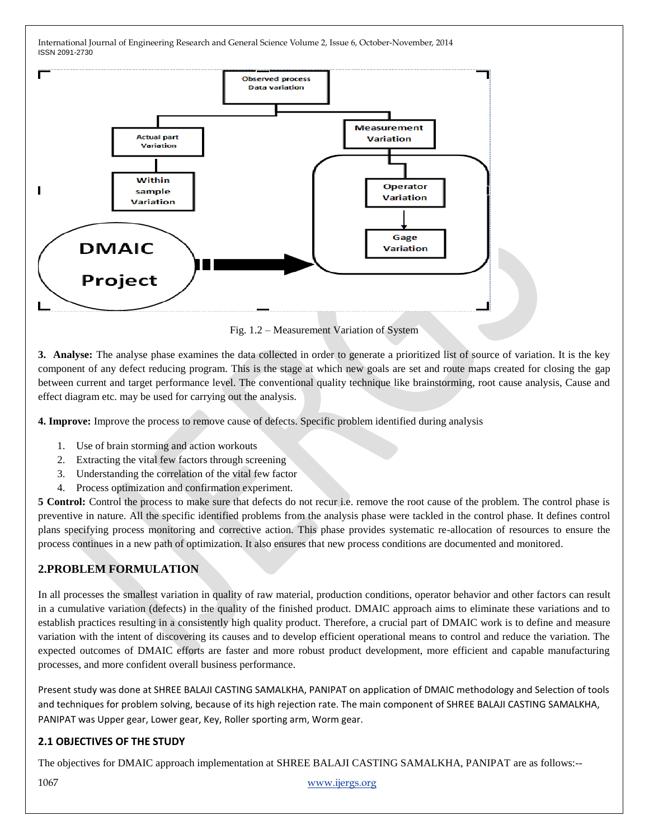

Fig. 1.2 – Measurement Variation of System

**3. Analyse:** The analyse phase examines the data collected in order to generate a prioritized list of source of variation. It is the key component of any defect reducing program. This is the stage at which new goals are set and route maps created for closing the gap between current and target performance level. The conventional quality technique like brainstorming, root cause analysis, Cause and effect diagram etc. may be used for carrying out the analysis.

**4. Improve:** Improve the process to remove cause of defects. Specific problem identified during analysis

- 1. Use of brain storming and action workouts
- 2. Extracting the vital few factors through screening
- 3. Understanding the correlation of the vital few factor
- 4. Process optimization and confirmation experiment.

**5 Control:** Control the process to make sure that defects do not recur i.e. remove the root cause of the problem. The control phase is preventive in nature. All the specific identified problems from the analysis phase were tackled in the control phase. It defines control plans specifying process monitoring and corrective action. This phase provides systematic re-allocation of resources to ensure the process continues in a new path of optimization. It also ensures that new process conditions are documented and monitored.

# **2.PROBLEM FORMULATION**

In all processes the smallest variation in quality of raw material, production conditions, operator behavior and other factors can result in a cumulative variation (defects) in the quality of the finished product. DMAIC approach aims to eliminate these variations and to establish practices resulting in a consistently high quality product. Therefore, a crucial part of DMAIC work is to define and measure variation with the intent of discovering its causes and to develop efficient operational means to control and reduce the variation. The expected outcomes of DMAIC efforts are faster and more robust product development, more efficient and capable manufacturing processes, and more confident overall business performance.

Present study was done at SHREE BALAJI CASTING SAMALKHA, PANIPAT on application of DMAIC methodology and Selection of tools and techniques for problem solving, because of its high rejection rate. The main component of SHREE BALAJI CASTING SAMALKHA, PANIPAT was Upper gear, Lower gear, Key, Roller sporting arm, Worm gear.

### **2.1 OBJECTIVES OF THE STUDY**

The objectives for DMAIC approach implementation at SHREE BALAJI CASTING SAMALKHA, PANIPAT are as follows:--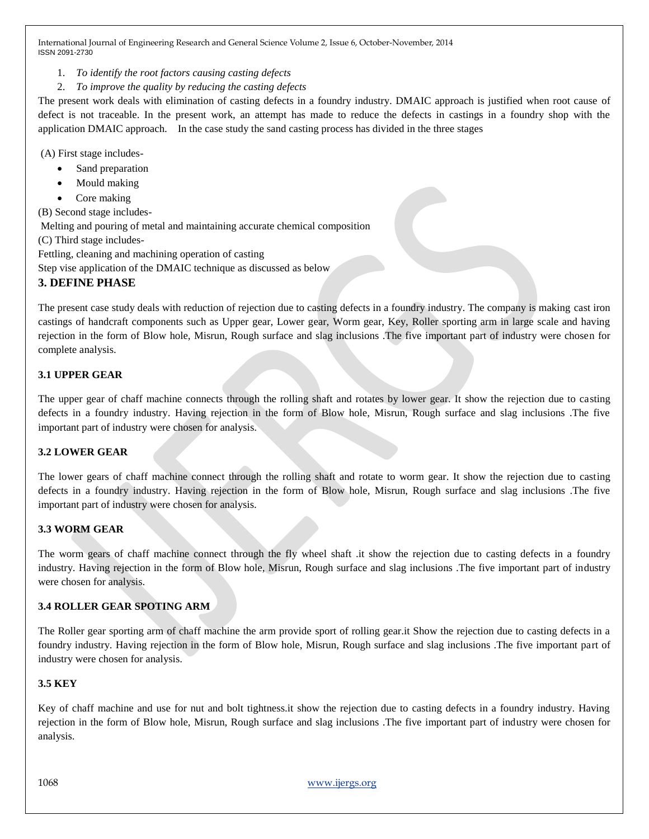- 1. *To identify the root factors causing casting defects*
- 2. *To improve the quality by reducing the casting defects*

The present work deals with elimination of casting defects in a foundry industry. DMAIC approach is justified when root cause of defect is not traceable. In the present work, an attempt has made to reduce the defects in castings in a foundry shop with the application DMAIC approach. In the case study the sand casting process has divided in the three stages

(A) First stage includes-

- Sand preparation
- Mould making
- Core making

(B) Second stage includes-

Melting and pouring of metal and maintaining accurate chemical composition

(C) Third stage includes-

Fettling, cleaning and machining operation of casting

Step vise application of the DMAIC technique as discussed as below

# **3. DEFINE PHASE**

The present case study deals with reduction of rejection due to casting defects in a foundry industry. The company is making cast iron castings of handcraft components such as Upper gear, Lower gear, Worm gear, Key, Roller sporting arm in large scale and having rejection in the form of Blow hole, Misrun, Rough surface and slag inclusions .The five important part of industry were chosen for complete analysis.

## **3.1 UPPER GEAR**

The upper gear of chaff machine connects through the rolling shaft and rotates by lower gear. It show the rejection due to casting defects in a foundry industry. Having rejection in the form of Blow hole, Misrun, Rough surface and slag inclusions .The five important part of industry were chosen for analysis.

# **3.2 LOWER GEAR**

The lower gears of chaff machine connect through the rolling shaft and rotate to worm gear. It show the rejection due to casting defects in a foundry industry. Having rejection in the form of Blow hole, Misrun, Rough surface and slag inclusions .The five important part of industry were chosen for analysis.

### **3.3 WORM GEAR**

The worm gears of chaff machine connect through the fly wheel shaft .it show the rejection due to casting defects in a foundry industry. Having rejection in the form of Blow hole, Misrun, Rough surface and slag inclusions .The five important part of industry were chosen for analysis.

# **3.4 ROLLER GEAR SPOTING ARM**

The Roller gear sporting arm of chaff machine the arm provide sport of rolling gear.it Show the rejection due to casting defects in a foundry industry. Having rejection in the form of Blow hole, Misrun, Rough surface and slag inclusions .The five important part of industry were chosen for analysis.

### **3.5 KEY**

Key of chaff machine and use for nut and bolt tightness.it show the rejection due to casting defects in a foundry industry. Having rejection in the form of Blow hole, Misrun, Rough surface and slag inclusions .The five important part of industry were chosen for analysis.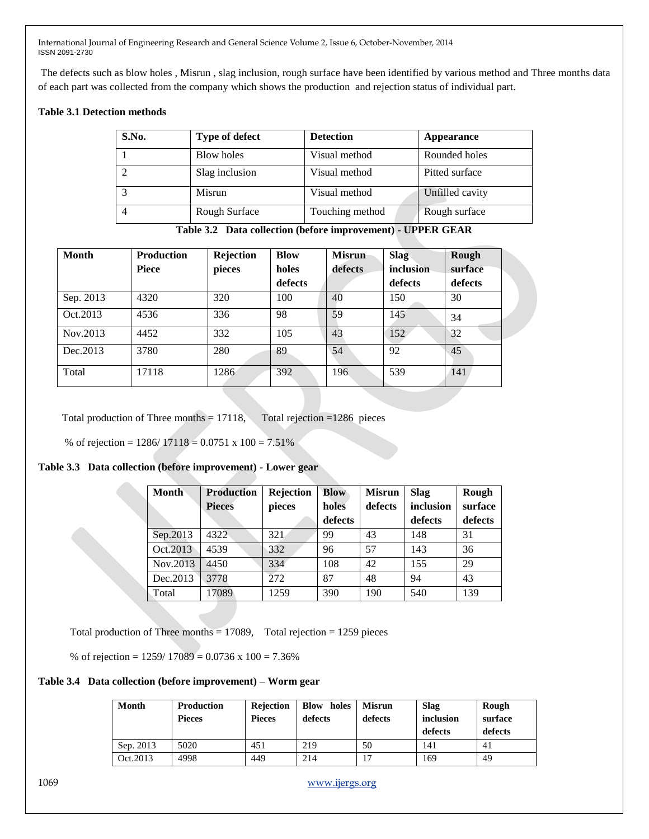The defects such as blow holes , Misrun , slag inclusion, rough surface have been identified by various method and Three months data of each part was collected from the company which shows the production and rejection status of individual part.

#### **Table 3.1 Detection methods**

| S.No. | Type of defect | <b>Detection</b> | <b>Appearance</b> |
|-------|----------------|------------------|-------------------|
|       | Blow holes     | Visual method    | Rounded holes     |
|       | Slag inclusion | Visual method    | Pitted surface    |
|       | Misrun         | Visual method    | Unfilled cavity   |
|       | Rough Surface  | Touching method  | Rough surface     |

**Table 3.2 Data collection (before improvement) - UPPER GEAR**

| <b>Month</b> | <b>Production</b> | Rejection | <b>Blow</b> | <b>Misrun</b> | <b>Slag</b> | Rough   |
|--------------|-------------------|-----------|-------------|---------------|-------------|---------|
|              | <b>Piece</b>      | pieces    | holes       | defects       | inclusion   | surface |
|              |                   |           | defects     |               | defects     | defects |
| Sep. 2013    | 4320              | 320       | 100         | 40            | 150         | 30      |
| Oct.2013     | 4536              | 336       | 98          | 59            | 145         | 34      |
| Nov.2013     | 4452              | 332       | 105         | 43            | 152         | 32      |
| Dec. 2013    | 3780              | 280       | 89          | 54            | 92          | 45      |
| Total        | 17118             | 1286      | 392         | 196           | 539         | 141     |

Total production of Three months  $= 17118$ , Total rejection  $= 1286$  pieces

% of rejection = 1286/ 17118 = 0.0751 x 100 = 7.51%

### **Table 3.3 Data collection (before improvement) - Lower gear**

| <b>Month</b> | <b>Production</b> | <b>Rejection</b> | <b>Blow</b> | <b>Misrun</b> | <b>Slag</b> | Rough   |
|--------------|-------------------|------------------|-------------|---------------|-------------|---------|
|              | <b>Pieces</b>     | pieces           | holes       | defects       | inclusion   | surface |
|              |                   |                  | defects     |               | defects     | defects |
| Sep.2013     | 4322              | 321              | 99          | 43            | 148         | 31      |
| Oct.2013     | 4539              | 332              | 96          | 57            | 143         | 36      |
| Nov.2013     | 4450              | 334              | 108         | 42            | 155         | 29      |
| Dec. 2013    | 3778              | 272              | 87          | 48            | 94          | 43      |
| Total        | 17089             | 1259             | 390         | 190           | 540         | 139     |

Total production of Three months  $= 17089$ , Total rejection  $= 1259$  pieces

% of rejection = 1259/ 17089 = 0.0736 x 100 = 7.36%

## **Table 3.4 Data collection (before improvement) – Worm gear**

| Month     | <b>Production</b><br><b>Pieces</b> | <b>Rejection</b><br><b>Pieces</b> | <b>Blow</b><br>holes<br>defects | <b>Misrun</b><br>defects | <b>Slag</b><br>inclusion<br>defects | Rough<br>surface<br>defects |
|-----------|------------------------------------|-----------------------------------|---------------------------------|--------------------------|-------------------------------------|-----------------------------|
| Sep. 2013 | 5020                               | 451                               | 219                             | 50                       | 141                                 | 41                          |
| Oct.2013  | 4998                               | 449                               | 214                             |                          | 169                                 | 49                          |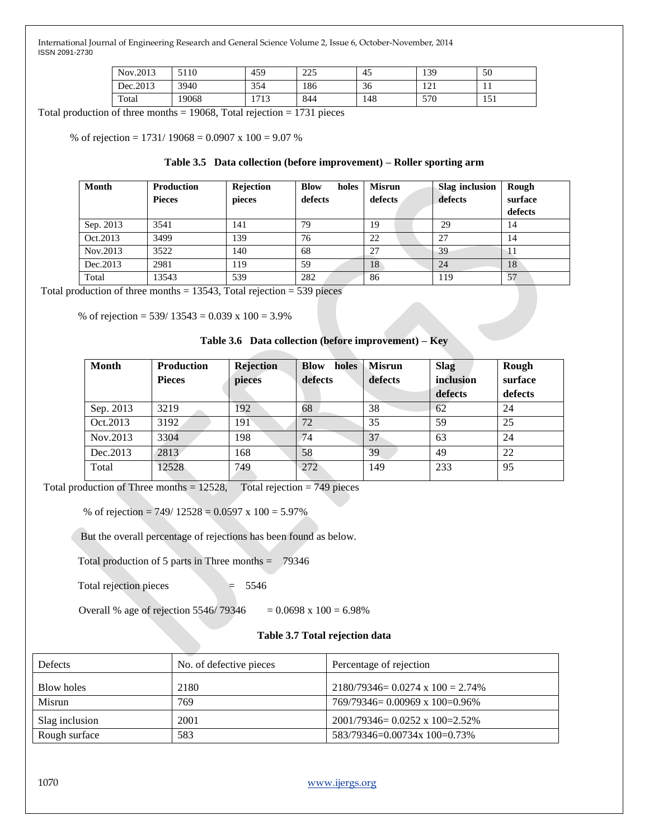| Nov.2013  | 5110  | 459          | 225<br>ت کا ک | 45  | 139               | 50                 |
|-----------|-------|--------------|---------------|-----|-------------------|--------------------|
| Dec. 2013 | 3940  | 354          | 186           | 36  | <u>ר</u> ו<br>141 | . .                |
| Total     | 19068 | 1710<br>1713 | 844           | 148 | 570               | $\epsilon$<br>1J 1 |

Total production of three months  $= 19068$ , Total rejection  $= 1731$  pieces

% of rejection =  $1731/19068 = 0.0907 \times 100 = 9.07$  %

#### **Table 3.5 Data collection (before improvement) – Roller sporting arm**

| Month     | <b>Production</b><br><b>Pieces</b> | Rejection<br>pieces | <b>Blow</b><br>holes<br>defects | <b>Misrun</b><br>defects | Slag inclusion<br>defects | Rough<br>surface<br>defects |
|-----------|------------------------------------|---------------------|---------------------------------|--------------------------|---------------------------|-----------------------------|
| Sep. 2013 | 3541                               | 141                 | 79                              | 19                       | 29                        | 14                          |
| Oct.2013  | 3499                               | 139                 | 76                              | 22                       | 27                        | 14                          |
| Nov.2013  | 3522                               | 140                 | 68                              | 27                       | 39                        |                             |
| Dec. 2013 | 2981                               | 119                 | 59                              | 18                       | 24                        | 18                          |
| Total     | 13543                              | 539                 | 282                             | 86                       | 119                       | 57                          |

Total production of three months  $= 13543$ , Total rejection  $= 539$  pieces

% of rejection =  $539/13543 = 0.039 \times 100 = 3.9\%$ 

#### **Table 3.6 Data collection (before improvement) – Key**

| <b>Month</b> | <b>Production</b><br><b>Pieces</b> | <b>Rejection</b><br>pieces | holes<br><b>Blow</b><br>defects | <b>Misrun</b><br>defects | <b>Slag</b><br>inclusion | Rough<br>surface |
|--------------|------------------------------------|----------------------------|---------------------------------|--------------------------|--------------------------|------------------|
|              |                                    |                            |                                 |                          | defects                  | defects          |
| Sep. 2013    | 3219                               | 192                        | 68                              | 38                       | 62                       | 24               |
| Oct.2013     | 3192                               | 191                        | 72                              | 35                       | 59                       | 25               |
| Nov.2013     | 3304                               | 198                        | 74                              | 37                       | 63                       | 24               |
| Dec. 2013    | 2813                               | 168                        | 58                              | 39                       | 49                       | 22               |
| Total        | 12528                              | 749                        | 272                             | 149                      | 233                      | 95               |

Total production of Three months  $= 12528$ , Total rejection  $= 749$  pieces

% of rejection =  $749/12528 = 0.0597 \times 100 = 5.97\%$ 

But the overall percentage of rejections has been found as below.

Total production of 5 parts in Three months  $= 79346$ 

Total rejection pieces = 5546

Overall % age of rejection 5546/ 79346  $= 0.0698 \times 100 = 6.98\%$ 

#### **Table 3.7 Total rejection data**

| <b>Defects</b><br>No. of defective pieces |      | Percentage of rejection                   |
|-------------------------------------------|------|-------------------------------------------|
| Blow holes                                | 2180 | $2180/79346 = 0.0274 \times 100 = 2.74\%$ |
| Misrun                                    | 769  | $769/79346 = 0.00969 \times 100 = 0.96\%$ |
| Slag inclusion                            | 2001 | $2001/79346 = 0.0252 \times 100 = 2.52\%$ |
| Rough surface                             | 583  | 583/79346=0.00734x 100=0.73%              |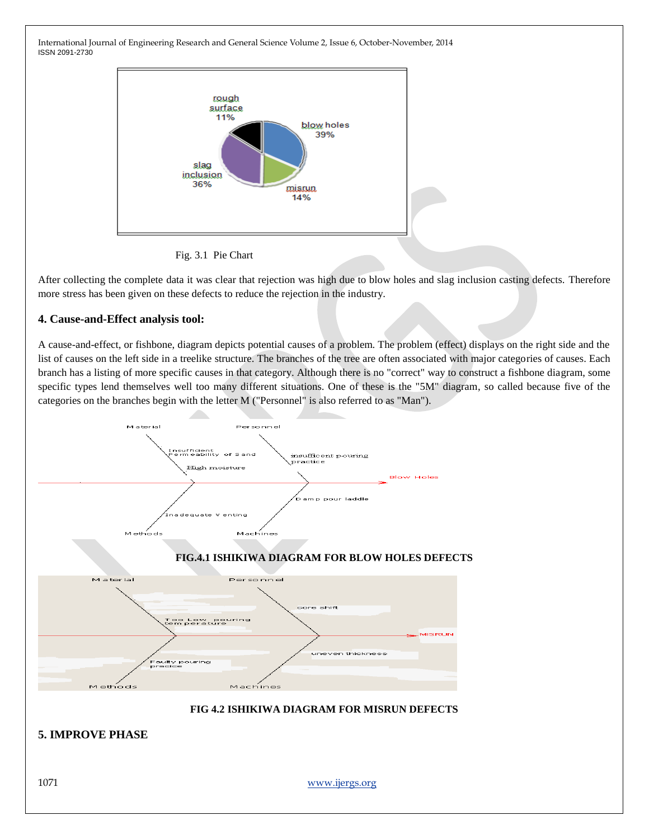

Fig. 3.1 Pie Chart

After collecting the complete data it was clear that rejection was high due to blow holes and slag inclusion casting defects. Therefore more stress has been given on these defects to reduce the rejection in the industry.

## **4. Cause-and-Effect analysis tool:**

A cause-and-effect, or fishbone, diagram depicts potential causes of a problem. The problem (effect) displays on the right side and the list of causes on the left side in a treelike structure. The branches of the tree are often associated with major categories of causes. Each branch has a listing of more specific causes in that category. Although there is no "correct" way to construct a fishbone diagram, some specific types lend themselves well too many different situations. One of these is the "5M" diagram, so called because five of the categories on the branches begin with the letter M ("Personnel" is also referred to as "Man").

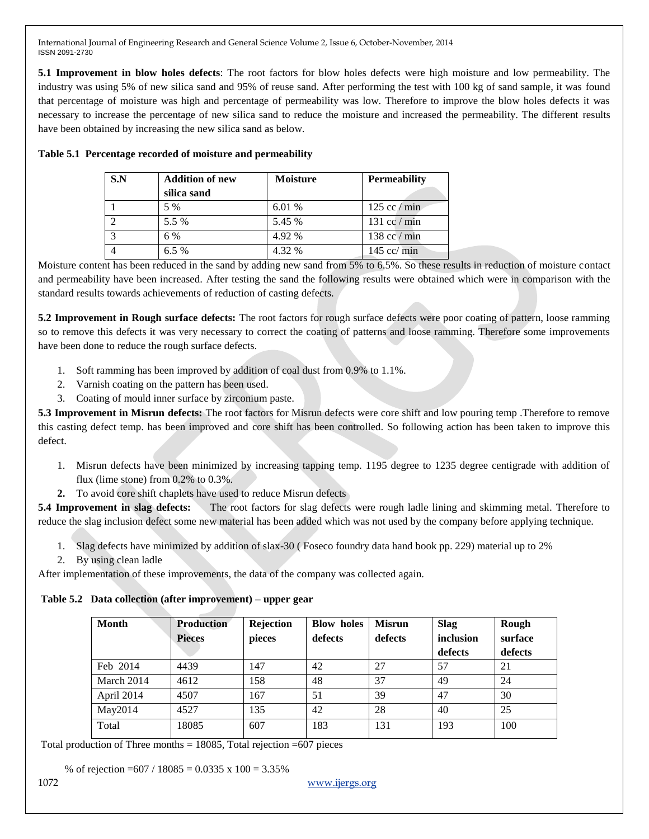**5.1 Improvement in blow holes defects**: The root factors for blow holes defects were high moisture and low permeability. The industry was using 5% of new silica sand and 95% of reuse sand. After performing the test with 100 kg of sand sample, it was found that percentage of moisture was high and percentage of permeability was low. Therefore to improve the blow holes defects it was necessary to increase the percentage of new silica sand to reduce the moisture and increased the permeability. The different results have been obtained by increasing the new silica sand as below.

| S.N | <b>Addition of new</b> | <b>Moisture</b> | <b>Permeability</b>           |
|-----|------------------------|-----------------|-------------------------------|
|     | silica sand            |                 |                               |
|     | 5 %                    | 6.01 %          | $125 \text{ cc} / \text{min}$ |
|     | 5.5 %                  | 5.45 %          | $131$ cc / min                |
|     | 6 %                    | 4.92 %          | $138 \text{ cc} / \text{min}$ |
|     | $6.5\%$                | 4.32 %          | $145$ cc/ min                 |

#### **Table 5.1 Percentage recorded of moisture and permeability**

Moisture content has been reduced in the sand by adding new sand from 5% to 6.5%. So these results in reduction of moisture contact and permeability have been increased. After testing the sand the following results were obtained which were in comparison with the standard results towards achievements of reduction of casting defects.

**5.2 Improvement in Rough surface defects:** The root factors for rough surface defects were poor coating of pattern, loose ramming so to remove this defects it was very necessary to correct the coating of patterns and loose ramming. Therefore some improvements have been done to reduce the rough surface defects.

- 1. Soft ramming has been improved by addition of coal dust from 0.9% to 1.1%.
- 2. Varnish coating on the pattern has been used.
- 3. Coating of mould inner surface by zirconium paste.

**5.3 Improvement in Misrun defects:** The root factors for Misrun defects were core shift and low pouring temp .Therefore to remove this casting defect temp. has been improved and core shift has been controlled. So following action has been taken to improve this defect.

- 1. Misrun defects have been minimized by increasing tapping temp. 1195 degree to 1235 degree centigrade with addition of flux (lime stone) from 0.2% to 0.3%.
- **2.** To avoid core shift chaplets have used to reduce Misrun defects

**5.4 Improvement in slag defects:** The root factors for slag defects were rough ladle lining and skimming metal. Therefore to reduce the slag inclusion defect some new material has been added which was not used by the company before applying technique.

- 1. Slag defects have minimized by addition of slax-30 ( Foseco foundry data hand book pp. 229) material up to 2%
- 2. By using clean ladle

After implementation of these improvements, the data of the company was collected again.

**Table 5.2 Data collection (after improvement) – upper gear**

| <b>Month</b> | <b>Production</b><br><b>Pieces</b> | Rejection<br>pieces | <b>Blow holes</b><br>defects | <b>Misrun</b><br>defects | <b>Slag</b><br>inclusion<br>defects | Rough<br>surface<br>defects |
|--------------|------------------------------------|---------------------|------------------------------|--------------------------|-------------------------------------|-----------------------------|
| Feb 2014     | 4439                               | 147                 | 42                           | 27                       | 57                                  | 21                          |
| March 2014   | 4612                               | 158                 | 48                           | 37                       | 49                                  | 24                          |
| April 2014   | 4507                               | 167                 | 51                           | 39                       | 47                                  | 30                          |
| May2014      | 4527                               | 135                 | 42                           | 28                       | 40                                  | 25                          |
| Total        | 18085                              | 607                 | 183                          | 131                      | 193                                 | 100                         |

Total production of Three months  $= 18085$ , Total rejection  $= 607$  pieces

% of rejection =  $607 / 18085 = 0.0335 \times 100 = 3.35\%$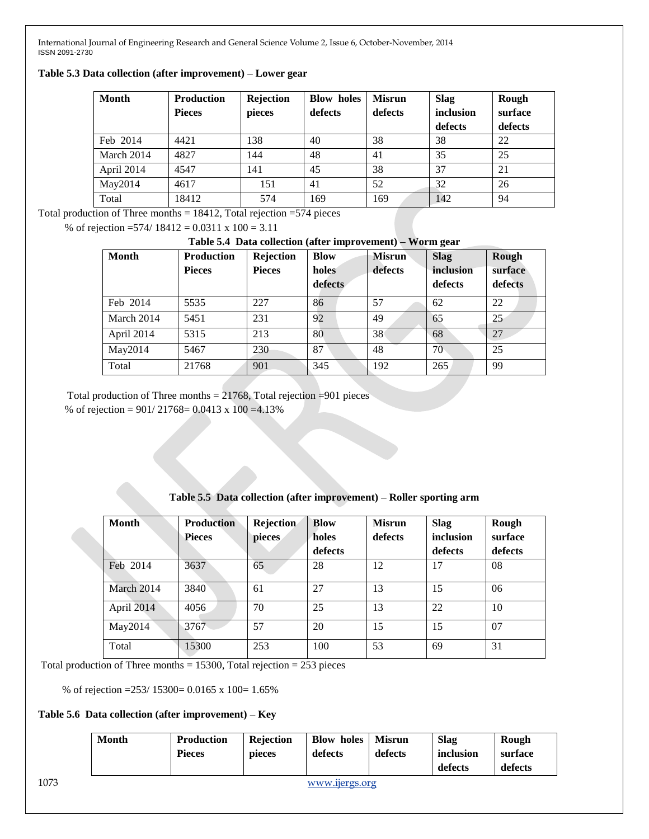**Table 5.3 Data collection (after improvement) – Lower gear**

| Month      | <b>Production</b> | Rejection | <b>Blow holes</b> | <b>Misrun</b> | <b>Slag</b> | Rough   |
|------------|-------------------|-----------|-------------------|---------------|-------------|---------|
|            | <b>Pieces</b>     | pieces    | defects           | defects       | inclusion   | surface |
|            |                   |           |                   |               | defects     | defects |
| Feb 2014   | 4421              | 138       | 40                | 38            | 38          | 22      |
| March 2014 | 4827              | 144       | 48                | 41            | 35          | 25      |
| April 2014 | 4547              | 141       | 45                | 38            | 37          | 21      |
| May2014    | 4617              | 151       | 41                | 52            | 32          | 26      |
| Total      | 18412             | 574       | 169               | 169           | 142         | 94      |

Total production of Three months  $= 18412$ , Total rejection  $= 574$  pieces

% of rejection =574/ 18412 = 0.0311 x 100 = 3.11

#### **Table 5.4 Data collection (after improvement) – Worm gear**

| <b>Month</b> | <b>Production</b> | Rejection     | <b>Blow</b> | <b>Misrun</b> | <b>Slag</b> | Rough   |
|--------------|-------------------|---------------|-------------|---------------|-------------|---------|
|              | <b>Pieces</b>     | <b>Pieces</b> | holes       | defects       | inclusion   | surface |
|              |                   |               | defects     |               | defects     | defects |
| Feb 2014     | 5535              | 227           | 86          | 57            | 62          | 22      |
| March 2014   | 5451              | 231           | 92          | 49            | 65          | 25      |
| April 2014   | 5315              | 213           | 80          | 38            | 68          | 27      |
| May2014      | 5467              | 230           | 87          | 48            | 70          | 25      |
| Total        | 21768             | 901           | 345         | 192           | 265         | 99      |

 Total production of Three months = 21768, Total rejection =901 pieces % of rejection = 901/ 21768= 0.0413 x 100 =4.13%

| <b>Month</b> | <b>Production</b><br><b>Pieces</b> | Rejection<br>pieces | <b>Blow</b><br>holes<br>defects | <b>Misrun</b><br>defects | <b>Slag</b><br>inclusion<br>defects | Rough<br>surface<br>defects |
|--------------|------------------------------------|---------------------|---------------------------------|--------------------------|-------------------------------------|-----------------------------|
| Feb 2014     | 3637                               | 65                  | 28                              | 12                       | 17                                  | 08                          |
| March 2014   | 3840                               | 61                  | 27                              | 13                       | 15                                  | 06                          |
| April 2014   | 4056                               | 70                  | 25                              | 13                       | 22                                  | 10                          |
| May2014      | 3767                               | 57                  | 20                              | 15                       | 15                                  | 07                          |
| Total        | 15300                              | 253                 | 100                             | 53                       | 69                                  | 31                          |

Total production of Three months  $= 15300$ , Total rejection  $= 253$  pieces

% of rejection =253/ 15300= 0.0165 x 100= 1.65%

### **Table 5.6 Data collection (after improvement) – Key**

|      | <b>Month</b> | Production<br><b>Pieces</b> | Rejection<br>pieces | <b>Blow holes</b><br>defects | <b>Misrun</b><br>defects | <b>Slag</b><br>inclusion<br>defects | Rough<br>surface<br>defects |
|------|--------------|-----------------------------|---------------------|------------------------------|--------------------------|-------------------------------------|-----------------------------|
| 1073 |              |                             |                     | www.ijergs.org               |                          |                                     |                             |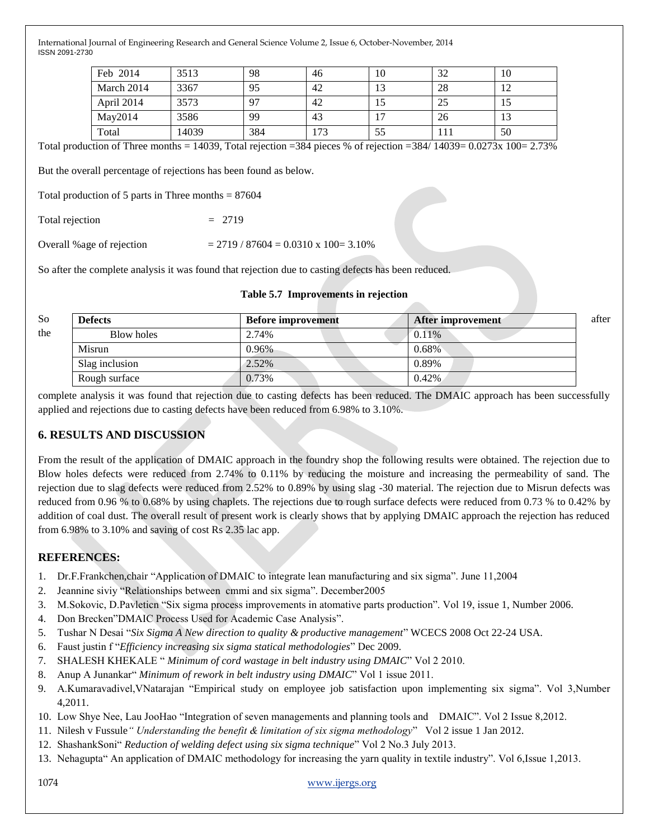| Feb 2014   | 3513  | 98  | 46 | 10              | -20<br>ے ر | 10        |
|------------|-------|-----|----|-----------------|------------|-----------|
| March 2014 | 3367  | 95  | 42 | $\bigcap$<br>13 | 28         | $\bigcap$ |
| April 2014 | 3573  | 97  | 42 | 10              | 25         | 10        |
| May2014    | 3586  | 99  | 43 | -               | 26         | 13        |
| Total      | 14039 | 384 | 73 | 55              |            | 50        |

Total production of Three months = 14039, Total rejection =384 pieces % of rejection =384/ 14039=  $0.0273x$  100=  $2.73\%$ 

But the overall percentage of rejections has been found as below.

Total production of 5 parts in Three months  $= 87604$ 

Total rejection  $= 2719$ 

Overall %age of rejection  $= 2719 / 87604 = 0.0310 \times 100 = 3.10\%$ 

So after the complete analysis it was found that rejection due to casting defects has been reduced.

| So  | <b>Defects</b> | <b>Before improvement</b> | After improvement | after |
|-----|----------------|---------------------------|-------------------|-------|
| the | Blow holes     | 2.74%                     | $0.11\%$          |       |
|     | Misrun         | 0.96%                     | 0.68%             |       |
|     | Slag inclusion | 2.52%                     | 0.89%             |       |
|     | Rough surface  | 0.73%                     | $0.42\%$          |       |

complete analysis it was found that rejection due to casting defects has been reduced. The DMAIC approach has been successfully applied and rejections due to casting defects have been reduced from 6.98% to 3.10%.

### **6. RESULTS AND DISCUSSION**

From the result of the application of DMAIC approach in the foundry shop the following results were obtained. The rejection due to Blow holes defects were reduced from 2.74% to 0.11% by reducing the moisture and increasing the permeability of sand. The rejection due to slag defects were reduced from 2.52% to 0.89% by using slag -30 material. The rejection due to Misrun defects was reduced from 0.96 % to 0.68% by using chaplets. The rejections due to rough surface defects were reduced from 0.73 % to 0.42% by addition of coal dust. The overall result of present work is clearly shows that by applying DMAIC approach the rejection has reduced from 6.98% to 3.10% and saving of cost Rs 2.35 lac app.

### **REFERENCES:**

- 1. Dr.F.Frankchen,chair "Application of DMAIC to integrate lean manufacturing and six sigma". June 11,2004
- 2. Jeannine siviy "Relationships between cmmi and six sigma". December 2005
- 3. M.Sokovic, D.Pavleticn "Six sigma process improvements in atomative parts production". Vol 19, issue 1, Number 2006.
- 4. Don Brecken"DMAIC Process Used for Academic Case Analysis".
- 5. Tushar N Desai "Six Sigma A New direction to quality & productive management" WCECS 2008 Oct 22-24 USA.
- 6. Faust justin f "*Efficiency increasing six sigma statical methodologies*" Dec 2009.
- 7. SHALESH KHEKALE "*Minimum of cord wastage in belt industry using DMAIC*" Vol 2 2010.
- 8. Anup A Junankar<sup>"</sup> Minimum of rework in belt industry using DMAIC" Vol 1 issue 2011.
- 9. A.Kumaravadivel, VNatarajan 
"Empirical study on employee job satisfaction upon implementing six sigma". Vol 3, Number 4,2011.
- 10. Low Shye Nee, Lau JooHao "Integration of seven managements and planning tools and DMAIC". Vol 2 Issue 8,2012.
- 11. Nilesh v Fussule*" Understanding the benefit & limitation of six sigma methodology*‖ Vol 2 issue 1 Jan 2012.
- 12. ShashankSoni" *Reduction of welding defect using six sigma technique*" Vol 2 No.3 July 2013.
- 13. Nehagupta" An application of DMAIC methodology for increasing the yarn quality in textile industry". Vol 6,Issue 1,2013.